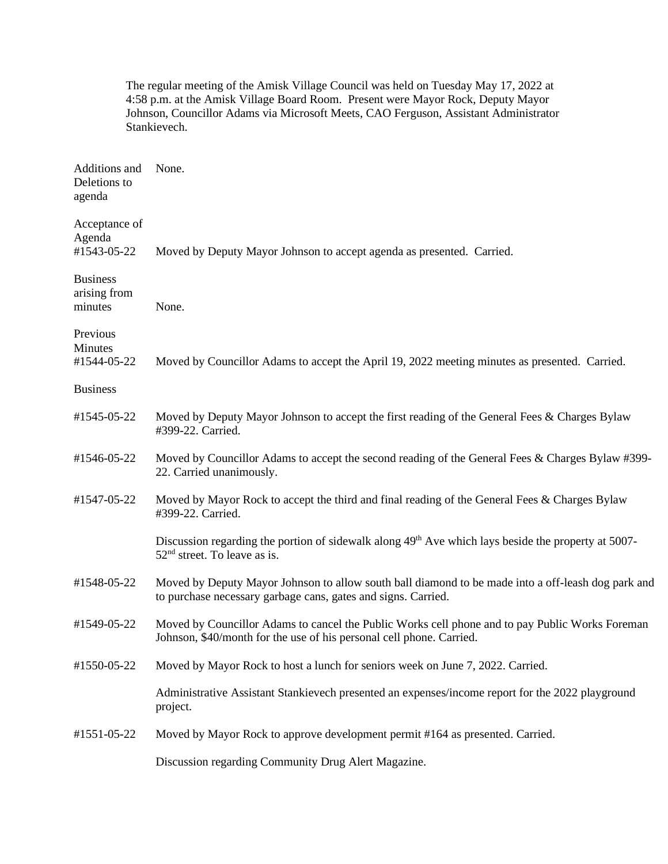|                                            | The regular meeting of the Amisk Village Council was held on Tuesday May 17, 2022 at<br>4:58 p.m. at the Amisk Village Board Room. Present were Mayor Rock, Deputy Mayor<br>Johnson, Councillor Adams via Microsoft Meets, CAO Ferguson, Assistant Administrator<br>Stankievech. |
|--------------------------------------------|----------------------------------------------------------------------------------------------------------------------------------------------------------------------------------------------------------------------------------------------------------------------------------|
| Additions and<br>Deletions to<br>agenda    | None.                                                                                                                                                                                                                                                                            |
| Acceptance of<br>Agenda<br>#1543-05-22     | Moved by Deputy Mayor Johnson to accept agenda as presented. Carried.                                                                                                                                                                                                            |
| <b>Business</b><br>arising from<br>minutes | None.                                                                                                                                                                                                                                                                            |
| Previous<br>Minutes<br>#1544-05-22         | Moved by Councillor Adams to accept the April 19, 2022 meeting minutes as presented. Carried.                                                                                                                                                                                    |
| <b>Business</b>                            |                                                                                                                                                                                                                                                                                  |
| #1545-05-22                                | Moved by Deputy Mayor Johnson to accept the first reading of the General Fees & Charges Bylaw<br>#399-22. Carried.                                                                                                                                                               |
| #1546-05-22                                | Moved by Councillor Adams to accept the second reading of the General Fees & Charges Bylaw #399-<br>22. Carried unanimously.                                                                                                                                                     |
| #1547-05-22                                | Moved by Mayor Rock to accept the third and final reading of the General Fees & Charges Bylaw<br>#399-22. Carried.                                                                                                                                                               |
|                                            | Discussion regarding the portion of sidewalk along 49 <sup>th</sup> Ave which lays beside the property at 5007-<br>52 <sup>nd</sup> street. To leave as is.                                                                                                                      |
| #1548-05-22                                | Moved by Deputy Mayor Johnson to allow south ball diamond to be made into a off-leash dog park and<br>to purchase necessary garbage cans, gates and signs. Carried.                                                                                                              |
| #1549-05-22                                | Moved by Councillor Adams to cancel the Public Works cell phone and to pay Public Works Foreman<br>Johnson, \$40/month for the use of his personal cell phone. Carried.                                                                                                          |
| #1550-05-22                                | Moved by Mayor Rock to host a lunch for seniors week on June 7, 2022. Carried.                                                                                                                                                                                                   |
|                                            | Administrative Assistant Stankievech presented an expenses/income report for the 2022 playground<br>project.                                                                                                                                                                     |
| #1551-05-22                                | Moved by Mayor Rock to approve development permit #164 as presented. Carried.                                                                                                                                                                                                    |
|                                            | Discussion regarding Community Drug Alert Magazine.                                                                                                                                                                                                                              |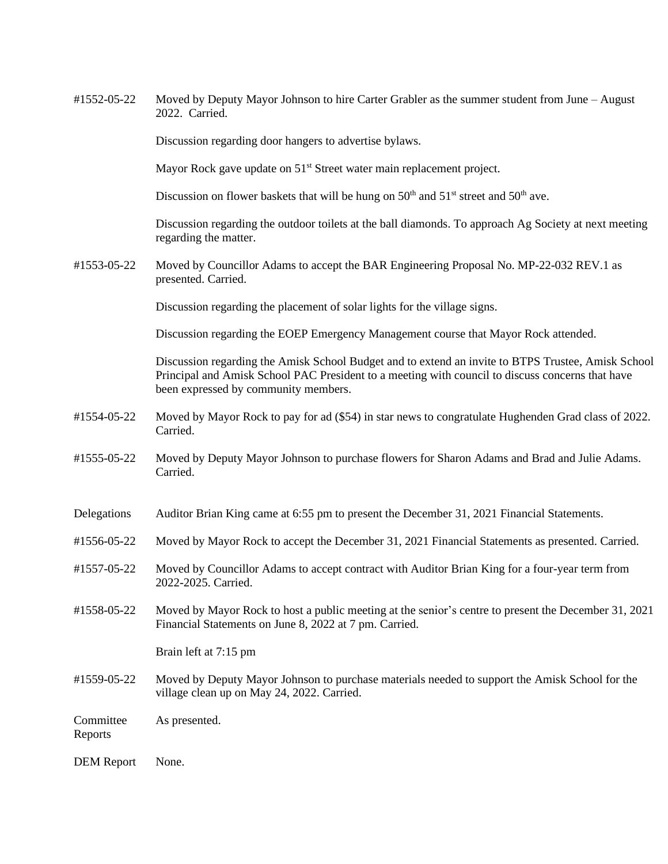#1552-05-22 Moved by Deputy Mayor Johnson to hire Carter Grabler as the summer student from June – August 2022. Carried.

Discussion regarding door hangers to advertise bylaws.

Mayor Rock gave update on 51<sup>st</sup> Street water main replacement project.

Discussion on flower baskets that will be hung on  $50<sup>th</sup>$  and  $51<sup>st</sup>$  street and  $50<sup>th</sup>$  ave.

Discussion regarding the outdoor toilets at the ball diamonds. To approach Ag Society at next meeting regarding the matter.

#1553-05-22 Moved by Councillor Adams to accept the BAR Engineering Proposal No. MP-22-032 REV.1 as presented. Carried.

Discussion regarding the placement of solar lights for the village signs.

Discussion regarding the EOEP Emergency Management course that Mayor Rock attended.

Discussion regarding the Amisk School Budget and to extend an invite to BTPS Trustee, Amisk School Principal and Amisk School PAC President to a meeting with council to discuss concerns that have been expressed by community members.

- #1554-05-22 Moved by Mayor Rock to pay for ad (\$54) in star news to congratulate Hughenden Grad class of 2022. Carried.
- #1555-05-22 Moved by Deputy Mayor Johnson to purchase flowers for Sharon Adams and Brad and Julie Adams. Carried.
- Delegations Auditor Brian King came at 6:55 pm to present the December 31, 2021 Financial Statements.
- #1556-05-22 Moved by Mayor Rock to accept the December 31, 2021 Financial Statements as presented. Carried.
- #1557-05-22 Moved by Councillor Adams to accept contract with Auditor Brian King for a four-year term from 2022-2025. Carried.
- #1558-05-22 Moved by Mayor Rock to host a public meeting at the senior's centre to present the December 31, 2021 Financial Statements on June 8, 2022 at 7 pm. Carried.

Brain left at 7:15 pm

#1559-05-22 Moved by Deputy Mayor Johnson to purchase materials needed to support the Amisk School for the village clean up on May 24, 2022. Carried.

Committee As presented.

Reports

DEM Report None.